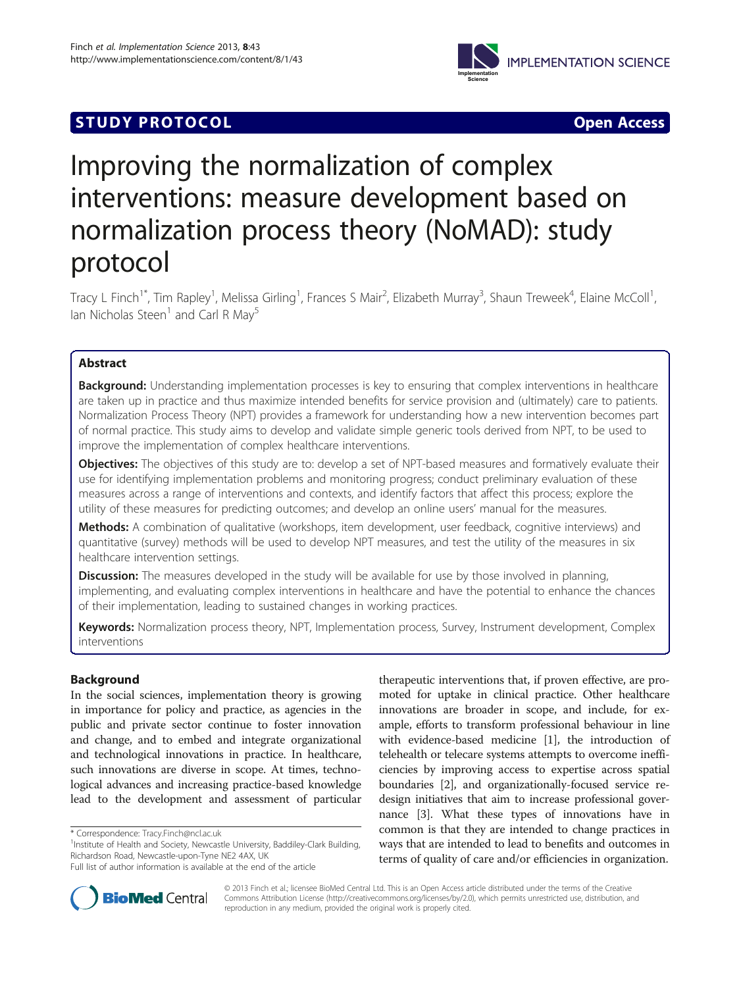# **STUDY PROTOCOL CONSUMING THE CONSUMING OPEN ACCESS**



# Improving the normalization of complex interventions: measure development based on normalization process theory (NoMAD): study protocol

Tracy L Finch<sup>1\*</sup>, Tim Rapley<sup>1</sup>, Melissa Girling<sup>1</sup>, Frances S Mair<sup>2</sup>, Elizabeth Murray<sup>3</sup>, Shaun Treweek<sup>4</sup>, Elaine McColl<sup>1</sup> , Ian Nicholas Steen<sup>1</sup> and Carl R May<sup>5</sup>

# Abstract

Background: Understanding implementation processes is key to ensuring that complex interventions in healthcare are taken up in practice and thus maximize intended benefits for service provision and (ultimately) care to patients. Normalization Process Theory (NPT) provides a framework for understanding how a new intervention becomes part of normal practice. This study aims to develop and validate simple generic tools derived from NPT, to be used to improve the implementation of complex healthcare interventions.

**Objectives:** The objectives of this study are to: develop a set of NPT-based measures and formatively evaluate their use for identifying implementation problems and monitoring progress; conduct preliminary evaluation of these measures across a range of interventions and contexts, and identify factors that affect this process; explore the utility of these measures for predicting outcomes; and develop an online users' manual for the measures.

Methods: A combination of qualitative (workshops, item development, user feedback, cognitive interviews) and quantitative (survey) methods will be used to develop NPT measures, and test the utility of the measures in six healthcare intervention settings.

**Discussion:** The measures developed in the study will be available for use by those involved in planning, implementing, and evaluating complex interventions in healthcare and have the potential to enhance the chances of their implementation, leading to sustained changes in working practices.

Keywords: Normalization process theory, NPT, Implementation process, Survey, Instrument development, Complex interventions

# Background

In the social sciences, implementation theory is growing in importance for policy and practice, as agencies in the public and private sector continue to foster innovation and change, and to embed and integrate organizational and technological innovations in practice. In healthcare, such innovations are diverse in scope. At times, technological advances and increasing practice-based knowledge lead to the development and assessment of particular

therapeutic interventions that, if proven effective, are promoted for uptake in clinical practice. Other healthcare innovations are broader in scope, and include, for example, efforts to transform professional behaviour in line with evidence-based medicine [\[1](#page-5-0)], the introduction of telehealth or telecare systems attempts to overcome inefficiencies by improving access to expertise across spatial boundaries [\[2\]](#page-5-0), and organizationally-focused service redesign initiatives that aim to increase professional governance [\[3\]](#page-5-0). What these types of innovations have in common is that they are intended to change practices in ways that are intended to lead to benefits and outcomes in terms of quality of care and/or efficiencies in organization.



© 2013 Finch et al.; licensee BioMed Central Ltd. This is an Open Access article distributed under the terms of the Creative Commons Attribution License [\(http://creativecommons.org/licenses/by/2.0\)](http://creativecommons.org/licenses/by/2.0), which permits unrestricted use, distribution, and reproduction in any medium, provided the original work is properly cited.

<sup>\*</sup> Correspondence: [Tracy.Finch@ncl.ac.uk](mailto:Tracy.Finch@ncl.ac.uk) <sup>1</sup>

<sup>&</sup>lt;sup>1</sup>Institute of Health and Society, Newcastle University, Baddiley-Clark Building, Richardson Road, Newcastle-upon-Tyne NE2 4AX, UK

Full list of author information is available at the end of the article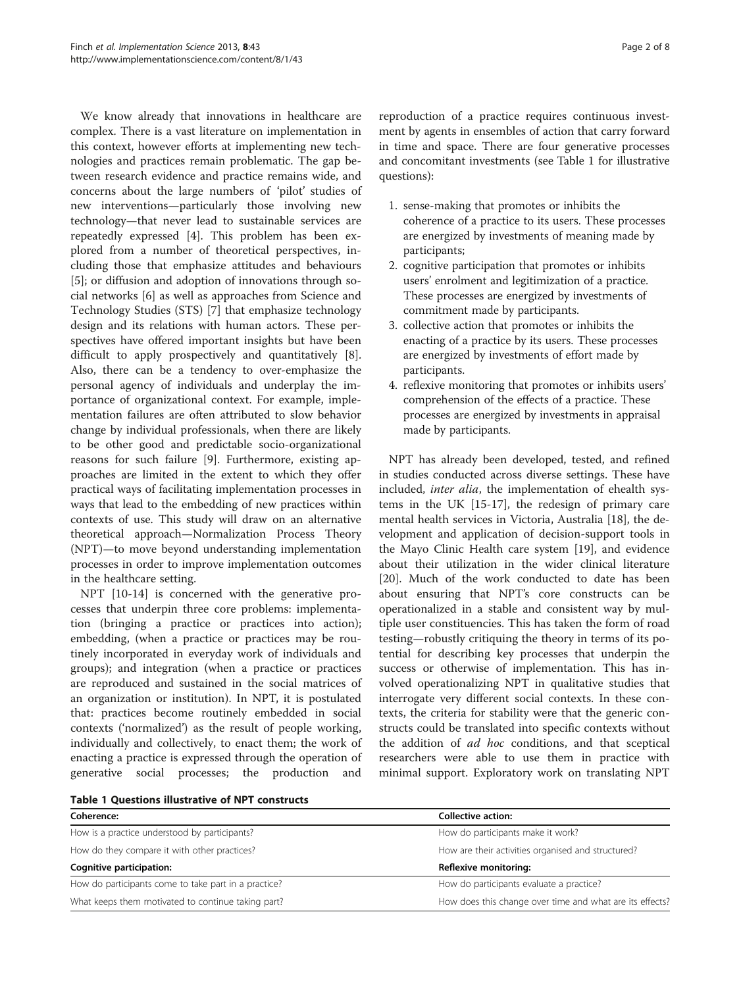We know already that innovations in healthcare are complex. There is a vast literature on implementation in this context, however efforts at implementing new technologies and practices remain problematic. The gap between research evidence and practice remains wide, and concerns about the large numbers of 'pilot' studies of new interventions—particularly those involving new technology—that never lead to sustainable services are repeatedly expressed [\[4\]](#page-5-0). This problem has been explored from a number of theoretical perspectives, including those that emphasize attitudes and behaviours [[5\]](#page-5-0); or diffusion and adoption of innovations through social networks [\[6](#page-5-0)] as well as approaches from Science and Technology Studies (STS) [[7\]](#page-6-0) that emphasize technology design and its relations with human actors. These perspectives have offered important insights but have been difficult to apply prospectively and quantitatively [\[8](#page-6-0)]. Also, there can be a tendency to over-emphasize the personal agency of individuals and underplay the importance of organizational context. For example, implementation failures are often attributed to slow behavior change by individual professionals, when there are likely to be other good and predictable socio-organizational reasons for such failure [[9\]](#page-6-0). Furthermore, existing approaches are limited in the extent to which they offer practical ways of facilitating implementation processes in ways that lead to the embedding of new practices within contexts of use. This study will draw on an alternative theoretical approach—Normalization Process Theory (NPT)—to move beyond understanding implementation processes in order to improve implementation outcomes in the healthcare setting.

NPT [[10-14](#page-6-0)] is concerned with the generative processes that underpin three core problems: implementation (bringing a practice or practices into action); embedding, (when a practice or practices may be routinely incorporated in everyday work of individuals and groups); and integration (when a practice or practices are reproduced and sustained in the social matrices of an organization or institution). In NPT, it is postulated that: practices become routinely embedded in social contexts ('normalized') as the result of people working, individually and collectively, to enact them; the work of enacting a practice is expressed through the operation of generative social processes; the production and

reproduction of a practice requires continuous investment by agents in ensembles of action that carry forward in time and space. There are four generative processes and concomitant investments (see Table 1 for illustrative questions):

- 1. sense-making that promotes or inhibits the coherence of a practice to its users. These processes are energized by investments of meaning made by participants;
- 2. cognitive participation that promotes or inhibits users' enrolment and legitimization of a practice. These processes are energized by investments of commitment made by participants.
- 3. collective action that promotes or inhibits the enacting of a practice by its users. These processes are energized by investments of effort made by participants.
- 4. reflexive monitoring that promotes or inhibits users' comprehension of the effects of a practice. These processes are energized by investments in appraisal made by participants.

NPT has already been developed, tested, and refined in studies conducted across diverse settings. These have included, inter alia, the implementation of ehealth systems in the UK [[15-17\]](#page-6-0), the redesign of primary care mental health services in Victoria, Australia [\[18\]](#page-6-0), the development and application of decision-support tools in the Mayo Clinic Health care system [[19\]](#page-6-0), and evidence about their utilization in the wider clinical literature [[20\]](#page-6-0). Much of the work conducted to date has been about ensuring that NPT's core constructs can be operationalized in a stable and consistent way by multiple user constituencies. This has taken the form of road testing—robustly critiquing the theory in terms of its potential for describing key processes that underpin the success or otherwise of implementation. This has involved operationalizing NPT in qualitative studies that interrogate very different social contexts. In these contexts, the criteria for stability were that the generic constructs could be translated into specific contexts without the addition of *ad hoc* conditions, and that sceptical researchers were able to use them in practice with minimal support. Exploratory work on translating NPT

Table 1 Questions illustrative of NPT constructs

| Coherence:                                           | Collective action:                                       |
|------------------------------------------------------|----------------------------------------------------------|
| How is a practice understood by participants?        | How do participants make it work?                        |
| How do they compare it with other practices?         | How are their activities organised and structured?       |
| Cognitive participation:                             | Reflexive monitoring:                                    |
| How do participants come to take part in a practice? | How do participants evaluate a practice?                 |
| What keeps them motivated to continue taking part?   | How does this change over time and what are its effects? |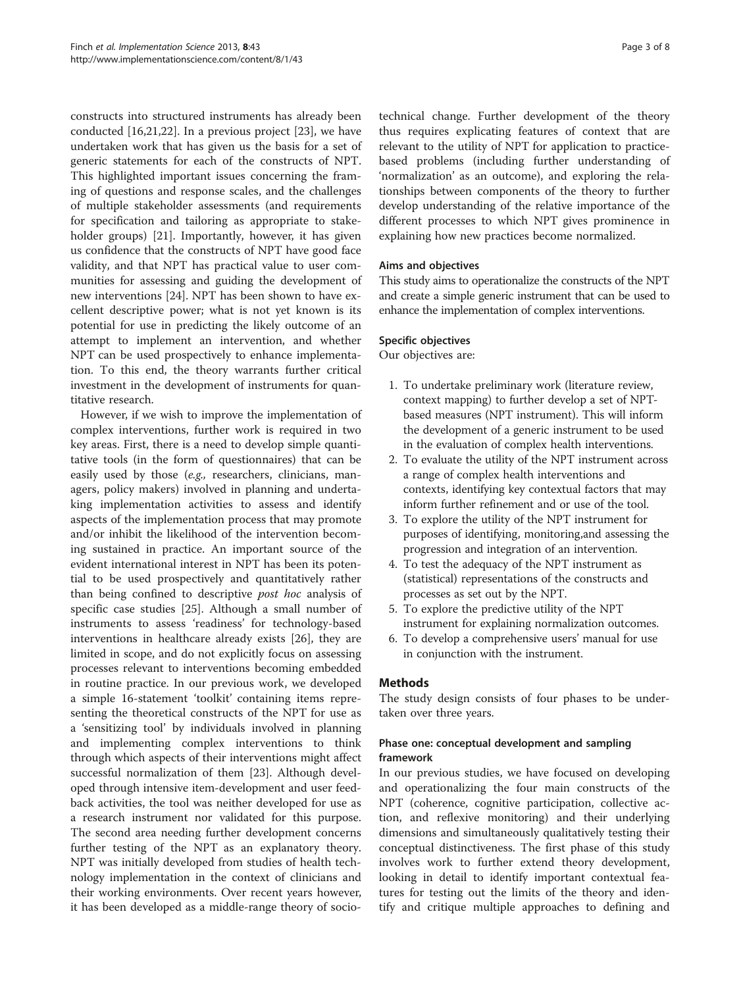constructs into structured instruments has already been conducted [[16](#page-6-0),[21,22](#page-6-0)]. In a previous project [\[23](#page-6-0)], we have undertaken work that has given us the basis for a set of generic statements for each of the constructs of NPT. This highlighted important issues concerning the framing of questions and response scales, and the challenges of multiple stakeholder assessments (and requirements for specification and tailoring as appropriate to stakeholder groups) [[21\]](#page-6-0). Importantly, however, it has given us confidence that the constructs of NPT have good face validity, and that NPT has practical value to user communities for assessing and guiding the development of new interventions [\[24](#page-6-0)]. NPT has been shown to have excellent descriptive power; what is not yet known is its potential for use in predicting the likely outcome of an attempt to implement an intervention, and whether NPT can be used prospectively to enhance implementation. To this end, the theory warrants further critical investment in the development of instruments for quantitative research.

However, if we wish to improve the implementation of complex interventions, further work is required in two key areas. First, there is a need to develop simple quantitative tools (in the form of questionnaires) that can be easily used by those (e.g., researchers, clinicians, managers, policy makers) involved in planning and undertaking implementation activities to assess and identify aspects of the implementation process that may promote and/or inhibit the likelihood of the intervention becoming sustained in practice. An important source of the evident international interest in NPT has been its potential to be used prospectively and quantitatively rather than being confined to descriptive post hoc analysis of specific case studies [[25\]](#page-6-0). Although a small number of instruments to assess 'readiness' for technology-based interventions in healthcare already exists [\[26\]](#page-6-0), they are limited in scope, and do not explicitly focus on assessing processes relevant to interventions becoming embedded in routine practice. In our previous work, we developed a simple 16-statement 'toolkit' containing items representing the theoretical constructs of the NPT for use as a 'sensitizing tool' by individuals involved in planning and implementing complex interventions to think through which aspects of their interventions might affect successful normalization of them [[23](#page-6-0)]. Although developed through intensive item-development and user feedback activities, the tool was neither developed for use as a research instrument nor validated for this purpose. The second area needing further development concerns further testing of the NPT as an explanatory theory. NPT was initially developed from studies of health technology implementation in the context of clinicians and their working environments. Over recent years however, it has been developed as a middle-range theory of sociotechnical change. Further development of the theory thus requires explicating features of context that are relevant to the utility of NPT for application to practicebased problems (including further understanding of 'normalization' as an outcome), and exploring the relationships between components of the theory to further develop understanding of the relative importance of the different processes to which NPT gives prominence in explaining how new practices become normalized.

# Aims and objectives

This study aims to operationalize the constructs of the NPT and create a simple generic instrument that can be used to enhance the implementation of complex interventions.

# Specific objectives

Our objectives are:

- 1. To undertake preliminary work (literature review, context mapping) to further develop a set of NPTbased measures (NPT instrument). This will inform the development of a generic instrument to be used in the evaluation of complex health interventions.
- 2. To evaluate the utility of the NPT instrument across a range of complex health interventions and contexts, identifying key contextual factors that may inform further refinement and or use of the tool.
- 3. To explore the utility of the NPT instrument for purposes of identifying, monitoring,and assessing the progression and integration of an intervention.
- 4. To test the adequacy of the NPT instrument as (statistical) representations of the constructs and processes as set out by the NPT.
- 5. To explore the predictive utility of the NPT instrument for explaining normalization outcomes.
- 6. To develop a comprehensive users' manual for use in conjunction with the instrument.

# Methods

The study design consists of four phases to be undertaken over three years.

# Phase one: conceptual development and sampling framework

In our previous studies, we have focused on developing and operationalizing the four main constructs of the NPT (coherence, cognitive participation, collective action, and reflexive monitoring) and their underlying dimensions and simultaneously qualitatively testing their conceptual distinctiveness. The first phase of this study involves work to further extend theory development, looking in detail to identify important contextual features for testing out the limits of the theory and identify and critique multiple approaches to defining and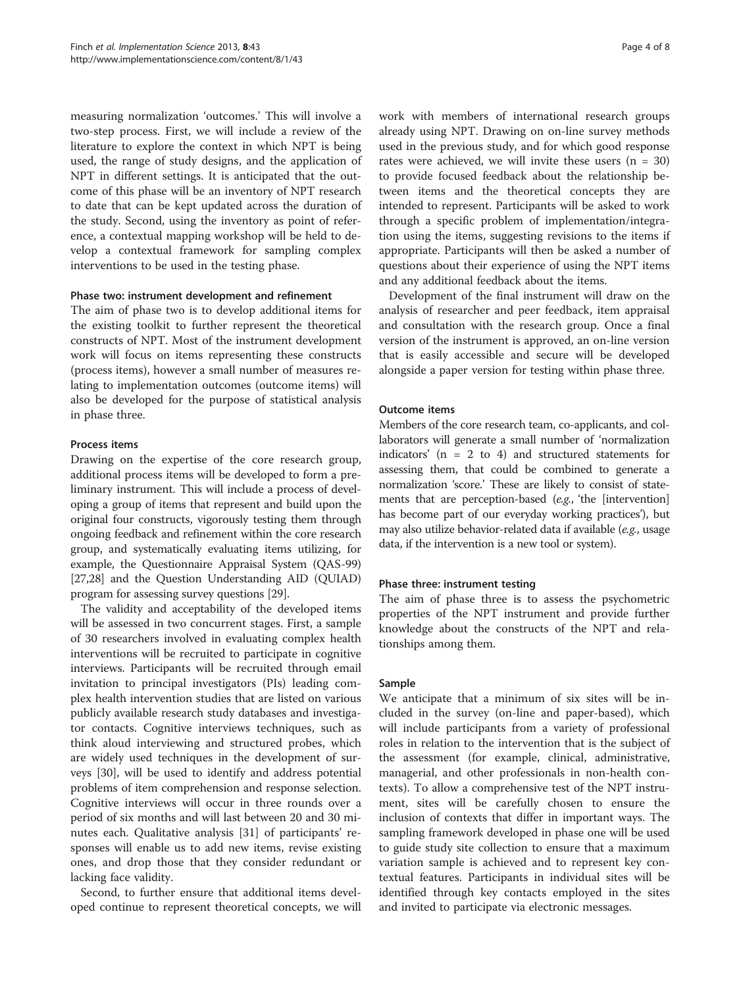measuring normalization 'outcomes.' This will involve a two-step process. First, we will include a review of the literature to explore the context in which NPT is being used, the range of study designs, and the application of NPT in different settings. It is anticipated that the outcome of this phase will be an inventory of NPT research to date that can be kept updated across the duration of the study. Second, using the inventory as point of reference, a contextual mapping workshop will be held to develop a contextual framework for sampling complex interventions to be used in the testing phase.

## Phase two: instrument development and refinement

The aim of phase two is to develop additional items for the existing toolkit to further represent the theoretical constructs of NPT. Most of the instrument development work will focus on items representing these constructs (process items), however a small number of measures relating to implementation outcomes (outcome items) will also be developed for the purpose of statistical analysis in phase three.

#### Process items

Drawing on the expertise of the core research group, additional process items will be developed to form a preliminary instrument. This will include a process of developing a group of items that represent and build upon the original four constructs, vigorously testing them through ongoing feedback and refinement within the core research group, and systematically evaluating items utilizing, for example, the Questionnaire Appraisal System (QAS-99) [[27,28](#page-6-0)] and the Question Understanding AID (QUIAD) program for assessing survey questions [\[29\]](#page-6-0).

The validity and acceptability of the developed items will be assessed in two concurrent stages. First, a sample of 30 researchers involved in evaluating complex health interventions will be recruited to participate in cognitive interviews. Participants will be recruited through email invitation to principal investigators (PIs) leading complex health intervention studies that are listed on various publicly available research study databases and investigator contacts. Cognitive interviews techniques, such as think aloud interviewing and structured probes, which are widely used techniques in the development of surveys [[30\]](#page-6-0), will be used to identify and address potential problems of item comprehension and response selection. Cognitive interviews will occur in three rounds over a period of six months and will last between 20 and 30 minutes each. Qualitative analysis [\[31](#page-6-0)] of participants' responses will enable us to add new items, revise existing ones, and drop those that they consider redundant or lacking face validity.

Second, to further ensure that additional items developed continue to represent theoretical concepts, we will work with members of international research groups already using NPT. Drawing on on-line survey methods used in the previous study, and for which good response rates were achieved, we will invite these users  $(n = 30)$ to provide focused feedback about the relationship between items and the theoretical concepts they are intended to represent. Participants will be asked to work through a specific problem of implementation/integration using the items, suggesting revisions to the items if appropriate. Participants will then be asked a number of questions about their experience of using the NPT items and any additional feedback about the items.

Development of the final instrument will draw on the analysis of researcher and peer feedback, item appraisal and consultation with the research group. Once a final version of the instrument is approved, an on-line version that is easily accessible and secure will be developed alongside a paper version for testing within phase three.

#### Outcome items

Members of the core research team, co-applicants, and collaborators will generate a small number of 'normalization indicators' (n = 2 to 4) and structured statements for assessing them, that could be combined to generate a normalization 'score.' These are likely to consist of statements that are perception-based (e.g., 'the [intervention] has become part of our everyday working practices'), but may also utilize behavior-related data if available (e.g., usage data, if the intervention is a new tool or system).

#### Phase three: instrument testing

The aim of phase three is to assess the psychometric properties of the NPT instrument and provide further knowledge about the constructs of the NPT and relationships among them.

#### Sample

We anticipate that a minimum of six sites will be included in the survey (on-line and paper-based), which will include participants from a variety of professional roles in relation to the intervention that is the subject of the assessment (for example, clinical, administrative, managerial, and other professionals in non-health contexts). To allow a comprehensive test of the NPT instrument, sites will be carefully chosen to ensure the inclusion of contexts that differ in important ways. The sampling framework developed in phase one will be used to guide study site collection to ensure that a maximum variation sample is achieved and to represent key contextual features. Participants in individual sites will be identified through key contacts employed in the sites and invited to participate via electronic messages.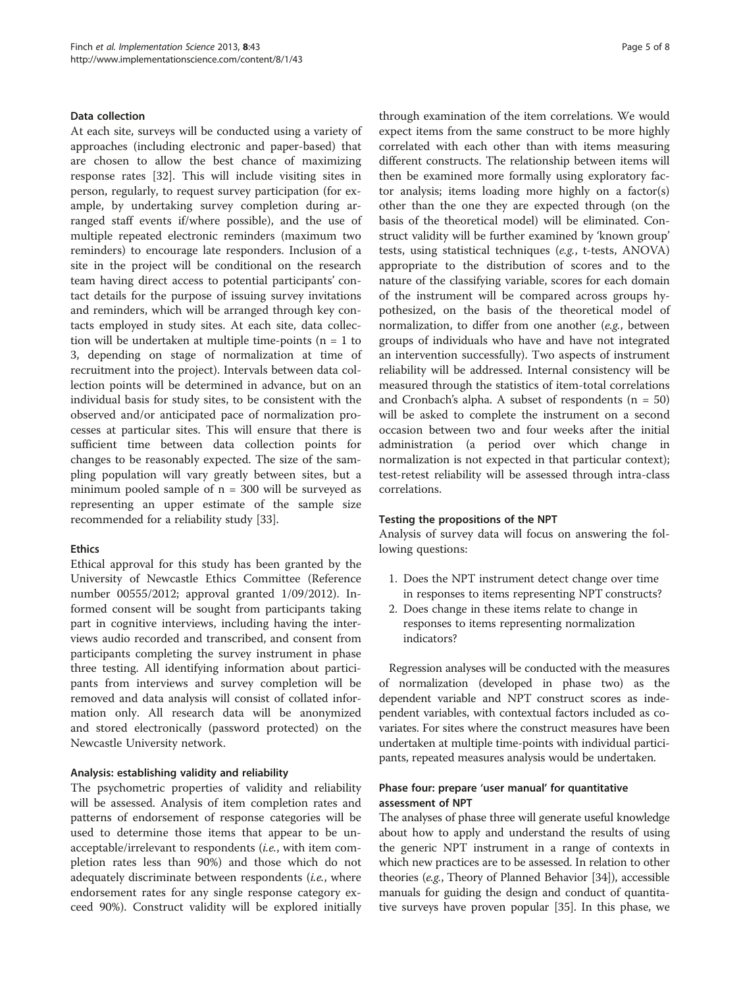# Data collection

At each site, surveys will be conducted using a variety of approaches (including electronic and paper-based) that are chosen to allow the best chance of maximizing response rates [[32\]](#page-6-0). This will include visiting sites in person, regularly, to request survey participation (for example, by undertaking survey completion during arranged staff events if/where possible), and the use of multiple repeated electronic reminders (maximum two reminders) to encourage late responders. Inclusion of a site in the project will be conditional on the research team having direct access to potential participants' contact details for the purpose of issuing survey invitations and reminders, which will be arranged through key contacts employed in study sites. At each site, data collection will be undertaken at multiple time-points ( $n = 1$  to 3, depending on stage of normalization at time of recruitment into the project). Intervals between data collection points will be determined in advance, but on an individual basis for study sites, to be consistent with the observed and/or anticipated pace of normalization processes at particular sites. This will ensure that there is sufficient time between data collection points for changes to be reasonably expected. The size of the sampling population will vary greatly between sites, but a minimum pooled sample of  $n = 300$  will be surveyed as representing an upper estimate of the sample size recommended for a reliability study [\[33\]](#page-6-0).

#### Ethics

Ethical approval for this study has been granted by the University of Newcastle Ethics Committee (Reference number 00555/2012; approval granted 1/09/2012). Informed consent will be sought from participants taking part in cognitive interviews, including having the interviews audio recorded and transcribed, and consent from participants completing the survey instrument in phase three testing. All identifying information about participants from interviews and survey completion will be removed and data analysis will consist of collated information only. All research data will be anonymized and stored electronically (password protected) on the Newcastle University network.

## Analysis: establishing validity and reliability

The psychometric properties of validity and reliability will be assessed. Analysis of item completion rates and patterns of endorsement of response categories will be used to determine those items that appear to be unacceptable/irrelevant to respondents (*i.e.*, with item completion rates less than 90%) and those which do not adequately discriminate between respondents *(i.e.*, where endorsement rates for any single response category exceed 90%). Construct validity will be explored initially

through examination of the item correlations. We would expect items from the same construct to be more highly correlated with each other than with items measuring different constructs. The relationship between items will then be examined more formally using exploratory factor analysis; items loading more highly on a factor(s) other than the one they are expected through (on the basis of the theoretical model) will be eliminated. Construct validity will be further examined by 'known group' tests, using statistical techniques (e.g., t-tests, ANOVA) appropriate to the distribution of scores and to the nature of the classifying variable, scores for each domain of the instrument will be compared across groups hypothesized, on the basis of the theoretical model of normalization, to differ from one another (e.g., between groups of individuals who have and have not integrated an intervention successfully). Two aspects of instrument reliability will be addressed. Internal consistency will be measured through the statistics of item-total correlations and Cronbach's alpha. A subset of respondents  $(n = 50)$ will be asked to complete the instrument on a second occasion between two and four weeks after the initial administration (a period over which change in normalization is not expected in that particular context); test-retest reliability will be assessed through intra-class correlations.

#### Testing the propositions of the NPT

Analysis of survey data will focus on answering the following questions:

- 1. Does the NPT instrument detect change over time in responses to items representing NPT constructs?
- 2. Does change in these items relate to change in responses to items representing normalization indicators?

Regression analyses will be conducted with the measures of normalization (developed in phase two) as the dependent variable and NPT construct scores as independent variables, with contextual factors included as covariates. For sites where the construct measures have been undertaken at multiple time-points with individual participants, repeated measures analysis would be undertaken.

# Phase four: prepare 'user manual' for quantitative assessment of NPT

The analyses of phase three will generate useful knowledge about how to apply and understand the results of using the generic NPT instrument in a range of contexts in which new practices are to be assessed. In relation to other theories (e.g., Theory of Planned Behavior [[34](#page-6-0)]), accessible manuals for guiding the design and conduct of quantitative surveys have proven popular [[35](#page-6-0)]. In this phase, we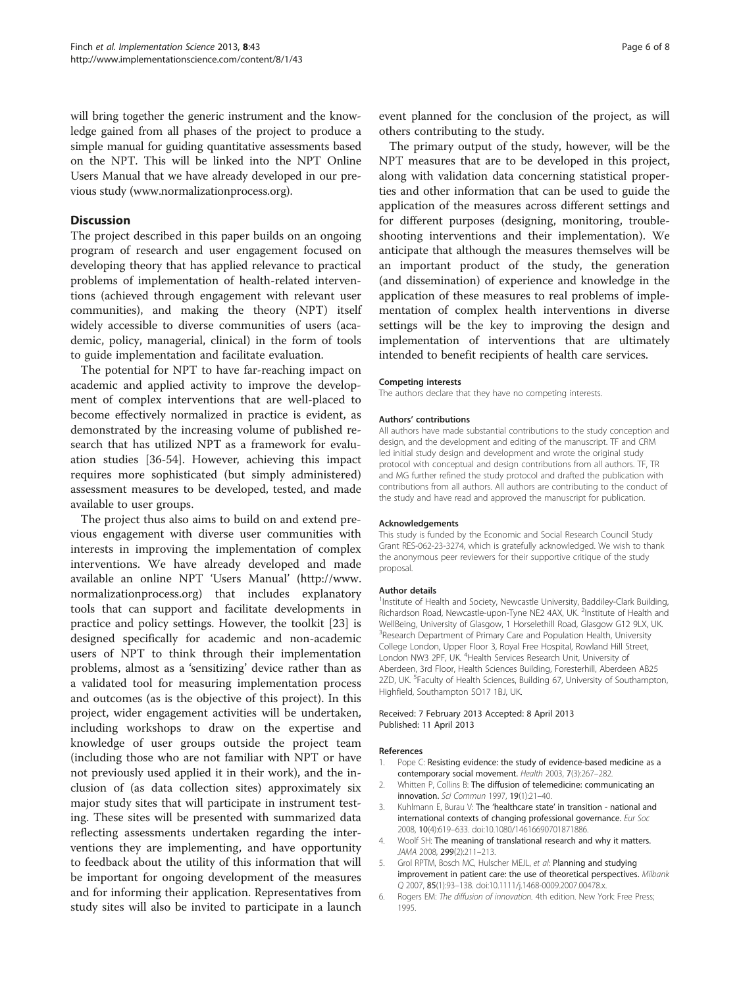<span id="page-5-0"></span>will bring together the generic instrument and the knowledge gained from all phases of the project to produce a simple manual for guiding quantitative assessments based on the NPT. This will be linked into the NPT Online Users Manual that we have already developed in our previous study [\(www.normalizationprocess.org](http://www.normalizationprocess.org)).

# **Discussion**

The project described in this paper builds on an ongoing program of research and user engagement focused on developing theory that has applied relevance to practical problems of implementation of health-related interventions (achieved through engagement with relevant user communities), and making the theory (NPT) itself widely accessible to diverse communities of users (academic, policy, managerial, clinical) in the form of tools to guide implementation and facilitate evaluation.

The potential for NPT to have far-reaching impact on academic and applied activity to improve the development of complex interventions that are well-placed to become effectively normalized in practice is evident, as demonstrated by the increasing volume of published research that has utilized NPT as a framework for evaluation studies [\[36-](#page-6-0)[54](#page-7-0)]. However, achieving this impact requires more sophisticated (but simply administered) assessment measures to be developed, tested, and made available to user groups.

The project thus also aims to build on and extend previous engagement with diverse user communities with interests in improving the implementation of complex interventions. We have already developed and made available an online NPT 'Users Manual' ([http://www.](http://www.normalizationprocess.org) [normalizationprocess.org\)](http://www.normalizationprocess.org) that includes explanatory tools that can support and facilitate developments in practice and policy settings. However, the toolkit [[23](#page-6-0)] is designed specifically for academic and non-academic users of NPT to think through their implementation problems, almost as a 'sensitizing' device rather than as a validated tool for measuring implementation process and outcomes (as is the objective of this project). In this project, wider engagement activities will be undertaken, including workshops to draw on the expertise and knowledge of user groups outside the project team (including those who are not familiar with NPT or have not previously used applied it in their work), and the inclusion of (as data collection sites) approximately six major study sites that will participate in instrument testing. These sites will be presented with summarized data reflecting assessments undertaken regarding the interventions they are implementing, and have opportunity to feedback about the utility of this information that will be important for ongoing development of the measures and for informing their application. Representatives from study sites will also be invited to participate in a launch

event planned for the conclusion of the project, as will others contributing to the study.

The primary output of the study, however, will be the NPT measures that are to be developed in this project, along with validation data concerning statistical properties and other information that can be used to guide the application of the measures across different settings and for different purposes (designing, monitoring, troubleshooting interventions and their implementation). We anticipate that although the measures themselves will be an important product of the study, the generation (and dissemination) of experience and knowledge in the application of these measures to real problems of implementation of complex health interventions in diverse settings will be the key to improving the design and implementation of interventions that are ultimately intended to benefit recipients of health care services.

#### Competing interests

The authors declare that they have no competing interests.

#### Authors' contributions

All authors have made substantial contributions to the study conception and design, and the development and editing of the manuscript. TF and CRM led initial study design and development and wrote the original study protocol with conceptual and design contributions from all authors. TF, TR and MG further refined the study protocol and drafted the publication with contributions from all authors. All authors are contributing to the conduct of the study and have read and approved the manuscript for publication.

#### Acknowledgements

This study is funded by the Economic and Social Research Council Study Grant RES-062-23-3274, which is gratefully acknowledged. We wish to thank the anonymous peer reviewers for their supportive critique of the study proposal.

#### Author details

<sup>1</sup>Institute of Health and Society, Newcastle University, Baddiley-Clark Building Richardson Road, Newcastle-upon-Tyne NE2 4AX, UK. <sup>2</sup>Institute of Health and WellBeing, University of Glasgow, 1 Horselethill Road, Glasgow G12 9LX, UK. <sup>3</sup>Research Department of Primary Care and Population Health, University College London, Upper Floor 3, Royal Free Hospital, Rowland Hill Street, London NW3 2PF, UK. <sup>4</sup> Health Services Research Unit, University of Aberdeen, 3rd Floor, Health Sciences Building, Foresterhill, Aberdeen AB25 2ZD, UK. <sup>5</sup>Faculty of Health Sciences, Building 67, University of Southampton, Highfield, Southampton SO17 1BJ, UK.

#### Received: 7 February 2013 Accepted: 8 April 2013 Published: 11 April 2013

#### References

- 1. Pope C: Resisting evidence: the study of evidence-based medicine as a contemporary social movement. Health 2003, 7(3):267–282.
- 2. Whitten P, Collins B: The diffusion of telemedicine: communicating an innovation. Sci Commun 1997, 19(1):21–40.
- 3. Kuhlmann E, Burau V: The 'healthcare state' in transition national and international contexts of changing professional governance. Eur Soc 2008, 10(4):619–633. doi:[10.1080/14616690701871886](http://dx.doi.org/10.1080/14616690701871886).
- 4. Woolf SH: The meaning of translational research and why it matters. JAMA 2008, 299(2):211–213.
- 5. Grol RPTM, Bosch MC, Hulscher MEJL, et al: Planning and studying improvement in patient care: the use of theoretical perspectives. Milbank Q 2007, 85(1):93–138. doi[:10.1111/j.1468-0009.2007.00478.x.](http://dx.doi.org/10.1111/j.1468-0009.2007.00478.x)
- 6. Rogers EM: The diffusion of innovation. 4th edition. New York: Free Press; 1995.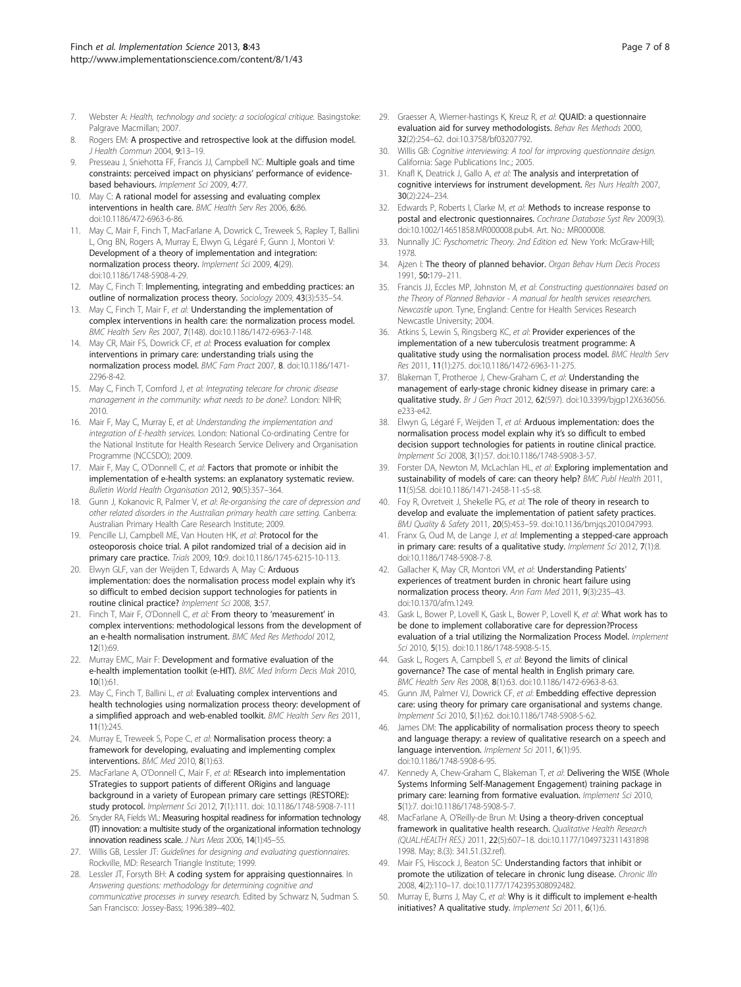- <span id="page-6-0"></span>7. Webster A: Health, technology and society: a sociological critique. Basingstoke: Palgrave Macmillan; 2007.
- 8. Rogers EM: A prospective and retrospective look at the diffusion model. J Health Commun 2004, 9:13–19.
- 9. Presseau J, Sniehotta FF, Francis JJ, Campbell NC: Multiple goals and time constraints: perceived impact on physicians' performance of evidencebased behaviours. Implement Sci 2009, 4:77.
- 10. May C: A rational model for assessing and evaluating complex interventions in health care. BMC Health Serv Res 2006, 6:86. doi[:10.1186/472-6963-6-86](http://dx.doi.org/10.1186/472-6963-6-86).
- 11. May C, Mair F, Finch T, MacFarlane A, Dowrick C, Treweek S, Rapley T, Ballini L, Ong BN, Rogers A, Murray E, Elwyn G, Légaré F, Gunn J, Montori V: Development of a theory of implementation and integration: normalization process theory. Implement Sci 2009, 4(29). doi[:10.1186/1748-5908-4-29.](http://dx.doi.org/10.1186/1748-5908-4-29)
- 12. May C, Finch T: Implementing, integrating and embedding practices: an outline of normalization process theory. Sociology 2009, 43(3):535–54.
- 13. May C, Finch T, Mair F, et al: Understanding the implementation of complex interventions in health care: the normalization process model. BMC Health Serv Res 2007, 7(148). doi:[10.1186/1472-6963-7-148](http://dx.doi.org/10.1186/1472-6963-7-148).
- 14. May CR, Mair FS, Dowrick CF, et al: Process evaluation for complex interventions in primary care: understanding trials using the normalization process model. BMC Fam Pract 2007, 8. doi[:10.1186/1471-](http://dx.doi.org/10.1186/1471-2296-8-42) [2296-8-42.](http://dx.doi.org/10.1186/1471-2296-8-42)
- 15. May C, Finch T, Cornford J, et al: Integrating telecare for chronic disease management in the community: what needs to be done?. London: NIHR; 2010.
- 16. Mair F, May C, Murray E, et al: Understanding the implementation and integration of E-health services. London: National Co-ordinating Centre for the National Institute for Health Research Service Delivery and Organisation Programme (NCCSDO); 2009.
- 17. Mair F, May C, O'Donnell C, et al: Factors that promote or inhibit the implementation of e-health systems: an explanatory systematic review. Bulletin World Health Organisation 2012, 90(5):357–364.
- 18. Gunn J, Kokanovic R, Palmer V, et al: Re-organising the care of depression and other related disorders in the Australian primary health care setting. Canberra: Australian Primary Health Care Research Institute; 2009.
- 19. Pencille LJ, Campbell ME, Van Houten HK, et al: Protocol for the osteoporosis choice trial. A pilot randomized trial of a decision aid in primary care practice. Trials 2009, 10:9. doi[:10.1186/1745-6215-10-113.](http://dx.doi.org/10.1186/1745-6215-10-113)
- 20. Elwyn GLF, van der Weijden T, Edwards A, May C: Arduous implementation: does the normalisation process model explain why it's so difficult to embed decision support technologies for patients in routine clinical practice? Implement Sci 2008, 3:57.
- 21. Finch T, Mair F, O'Donnell C, et al: From theory to 'measurement' in complex interventions: methodological lessons from the development of an e-health normalisation instrument. BMC Med Res Methodol 2012, 12(1):69.
- 22. Murray EMC, Mair F: Development and formative evaluation of the e-health implementation toolkit (e-HIT). BMC Med Inform Decis Mak 2010, 10(1):61.
- 23. May C, Finch T, Ballini L, et al: Evaluating complex interventions and health technologies using normalization process theory: development of a simplified approach and web-enabled toolkit. BMC Health Serv Res 2011, 11(1):245.
- 24. Murray E, Treweek S, Pope C, et al: Normalisation process theory: a framework for developing, evaluating and implementing complex interventions. BMC Med 2010, 8(1):63.
- 25. MacFarlane A, O'Donnell C, Mair F, et al: REsearch into implementation STrategies to support patients of different ORigins and language background in a variety of European primary care settings (RESTORE): study protocol. Implement Sci 2012, 7(1):111. doi: [10.1186/1748-5908-7-111](http://dx.doi.org/10.1186/1748-5908-7-111)
- 26. Snyder RA, Fields WL: Measuring hospital readiness for information technology (IT) innovation: a multisite study of the organizational information technology innovation readiness scale. J Nurs Meas 2006, 14(1):45–55.
- 27. Willis GB, Lessler JT: Guidelines for designing and evaluating questionnaires. Rockville, MD: Research Triangle Institute; 1999.
- 28. Lessler JT, Forsyth BH: A coding system for appraising questionnaires. In Answering questions: methodology for determining cognitive and communicative processes in survey research. Edited by Schwarz N, Sudman S. San Francisco: Jossey-Bass; 1996:389–402.
- 29. Graesser A, Wiemer-hastings K, Kreuz R, et al: QUAID: a questionnaire evaluation aid for survey methodologists. Behav Res Methods 2000, 32(2):254–62. doi:[10.3758/bf03207792.](http://dx.doi.org/10.3758/bf03207792)
- 30. Willis GB: Cognitive interviewing: A tool for improving questionnaire design. California: Sage Publications Inc.; 2005.
- 31. Knafl K, Deatrick J, Gallo A, et al: The analysis and interpretation of cognitive interviews for instrument development. Res Nurs Health 2007, 30(2):224–234.
- 32. Edwards P, Roberts I, Clarke M, et al: Methods to increase response to postal and electronic questionnaires. Cochrane Database Syst Rev 2009(3). doi[:10.1002/14651858.MR000008.pub4](http://dx.doi.org/10.1002/14651858.MR000008.pub4). Art. No.: MR000008.
- 33. Nunnally JC: Pyschometric Theory. 2nd Edition ed. New York: McGraw-Hill; 1978.
- 34. Ajzen I: The theory of planned behavior. Organ Behav Hum Decis Process 1991, 50:179–211.
- 35. Francis JJ, Eccles MP, Johnston M, et al: Constructing questionnaires based on the Theory of Planned Behavior - A manual for health services researchers. Newcastle upon. Tyne, England: Centre for Health Services Research Newcastle University; 2004.
- 36. Atkins S, Lewin S, Ringsberg KC, et al: Provider experiences of the implementation of a new tuberculosis treatment programme: A qualitative study using the normalisation process model. BMC Health Serv Res 2011, 11(1):275. doi[:10.1186/1472-6963-11-275.](http://dx.doi.org/10.1186/1472-6963-11-275)
- 37. Blakeman T, Protheroe J, Chew-Graham C, et al: Understanding the management of early-stage chronic kidney disease in primary care: a qualitative study. Br J Gen Pract 2012, 62(597). doi:[10.3399/bjgp12X636056.](http://dx.doi.org/10.3399/bjgp12X636056) e233-e42.
- 38. Elwyn G, Légaré F, Weijden T, et al: Arduous implementation: does the normalisation process model explain why it's so difficult to embed decision support technologies for patients in routine clinical practice. Implement Sci 2008, 3(1):57. doi[:10.1186/1748-5908-3-57](http://dx.doi.org/10.1186/1748-5908-3-57).
- 39. Forster DA, Newton M, McLachlan HL, et al: Exploring implementation and sustainability of models of care: can theory help? BMC Publ Health 2011, 11(5):S8. doi:[10.1186/1471-2458-11-s5-s8](http://dx.doi.org/10.1186/1471-2458-11-s5-s8).
- 40. Foy R, Ovretveit J, Shekelle PG, et al: The role of theory in research to develop and evaluate the implementation of patient safety practices. BMJ Quality & Safety 2011, 20(5):453–59. doi:[10.1136/bmjqs.2010.047993.](http://dx.doi.org/10.1136/bmjqs.2010.047993)
- 41. Franx G, Oud M, de Lange J, et al: Implementing a stepped-care approach in primary care: results of a qualitative study. Implement Sci 2012, 7(1):8. doi[:10.1186/1748-5908-7-8.](http://dx.doi.org/10.1186/1748-5908-7-8)
- 42. Gallacher K, May CR, Montori VM, et al: Understanding Patients' experiences of treatment burden in chronic heart failure using normalization process theory. Ann Fam Med 2011, 9(3):235–43. doi[:10.1370/afm.1249.](http://dx.doi.org/10.1370/afm.1249)
- 43. Gask L, Bower P, Lovell K, Gask L, Bower P, Lovell K, et al: What work has to be done to implement collaborative care for depression?Process evaluation of a trial utilizing the Normalization Process Model. Implement Sci 2010, 5(15). doi[:10.1186/1748-5908-5-15.](http://dx.doi.org/10.1186/1748-5908-5-15)
- 44. Gask L, Rogers A, Campbell S, et al: Beyond the limits of clinical governance? The case of mental health in English primary care. BMC Health Serv Res 2008, 8(1):63. doi[:10.1186/1472-6963-8-63.](http://dx.doi.org/10.1186/1472-6963-8-63)
- 45. Gunn JM, Palmer VJ, Dowrick CF, et al: Embedding effective depression care: using theory for primary care organisational and systems change. Implement Sci 2010, 5(1):62. doi[:10.1186/1748-5908-5-62](http://dx.doi.org/10.1186/1748-5908-5-62).
- 46. James DM: The applicability of normalisation process theory to speech and language therapy: a review of qualitative research on a speech and language intervention. Implement Sci 2011, 6(1):95. doi[:10.1186/1748-5908-6-95.](http://dx.doi.org/10.1186/1748-5908-6-95)
- 47. Kennedy A, Chew-Graham C, Blakeman T, et al: Delivering the WISE (Whole Systems Informing Self-Management Engagement) training package in primary care: learning from formative evaluation. Implement Sci 2010, 5(1):7. doi:[10.1186/1748-5908-5-7](http://dx.doi.org/10.1186/1748-5908-5-7).
- 48. MacFarlane A, O'Reilly-de Brun M: Using a theory-driven conceptual framework in qualitative health research. Qualitative Health Research (QUAL.HEALTH RES.) 2011, 22(5):607–18. doi:[10.1177/1049732311431898](http://dx.doi.org/10.1177/1049732311431898) 1998. May; 8.(3): 341.51.(32.ref).
- 49. Mair FS, Hiscock J, Beaton SC: Understanding factors that inhibit or promote the utilization of telecare in chronic lung disease. Chronic Illn 2008, 4(2):110–17. doi:[10.1177/1742395308092482.](http://dx.doi.org/10.1177/1742395308092482)
- 50. Murray E, Burns J, May C, et al: Why is it difficult to implement e-health initiatives? A qualitative study. Implement Sci 2011, 6(1):6.